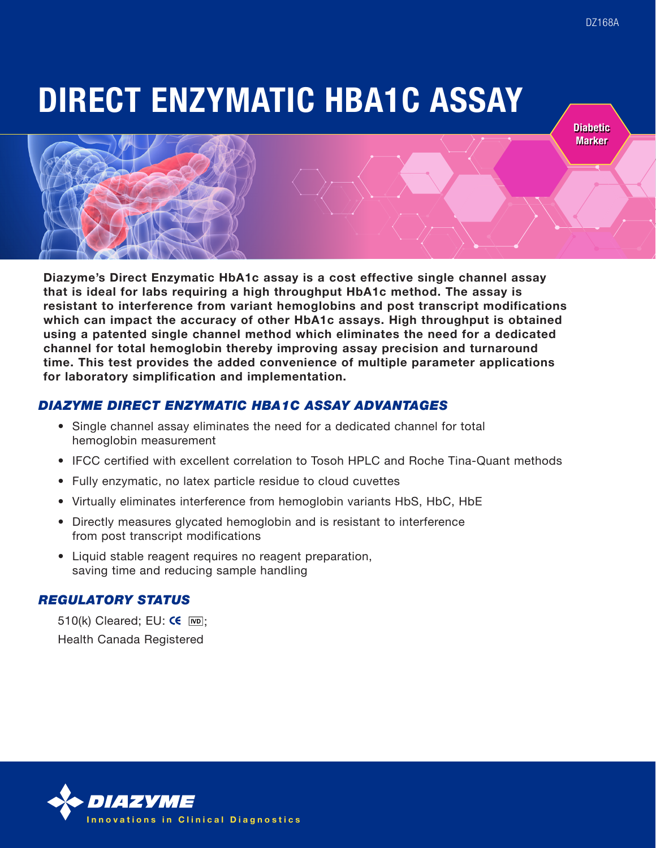DIRECT ENZYMATIC HBA1C ASSAY

**Diabetic Marker** 



Diazyme's Direct Enzymatic HbA1c assay is a cost effective single channel assay that is ideal for labs requiring a high throughput HbA1c method. The assay is resistant to interference from variant hemoglobins and post transcript modifications which can impact the accuracy of other HbA1c assays. High throughput is obtained using a patented single channel method which eliminates the need for a dedicated channel for total hemoglobin thereby improving assay precision and turnaround time. This test provides the added convenience of multiple parameter applications for laboratory simplification and implementation.

# *DIAZYME DIRECT ENZYMATIC HBA1C ASSAY ADVANTAGES*

- Single channel assay eliminates the need for a dedicated channel for total hemoglobin measurement
- IFCC certified with excellent correlation to Tosoh HPLC and Roche Tina-Quant methods
- Fully enzymatic, no latex particle residue to cloud cuvettes
- Virtually eliminates interference from hemoglobin variants HbS, HbC, HbE
- Directly measures glycated hemoglobin and is resistant to interference from post transcript modifications
- Liquid stable reagent requires no reagent preparation, saving time and reducing sample handling

# *REGULATORY STATUS*

510(k) Cleared; EU:  $\text{CE}$  [MD]: Health Canada Registered